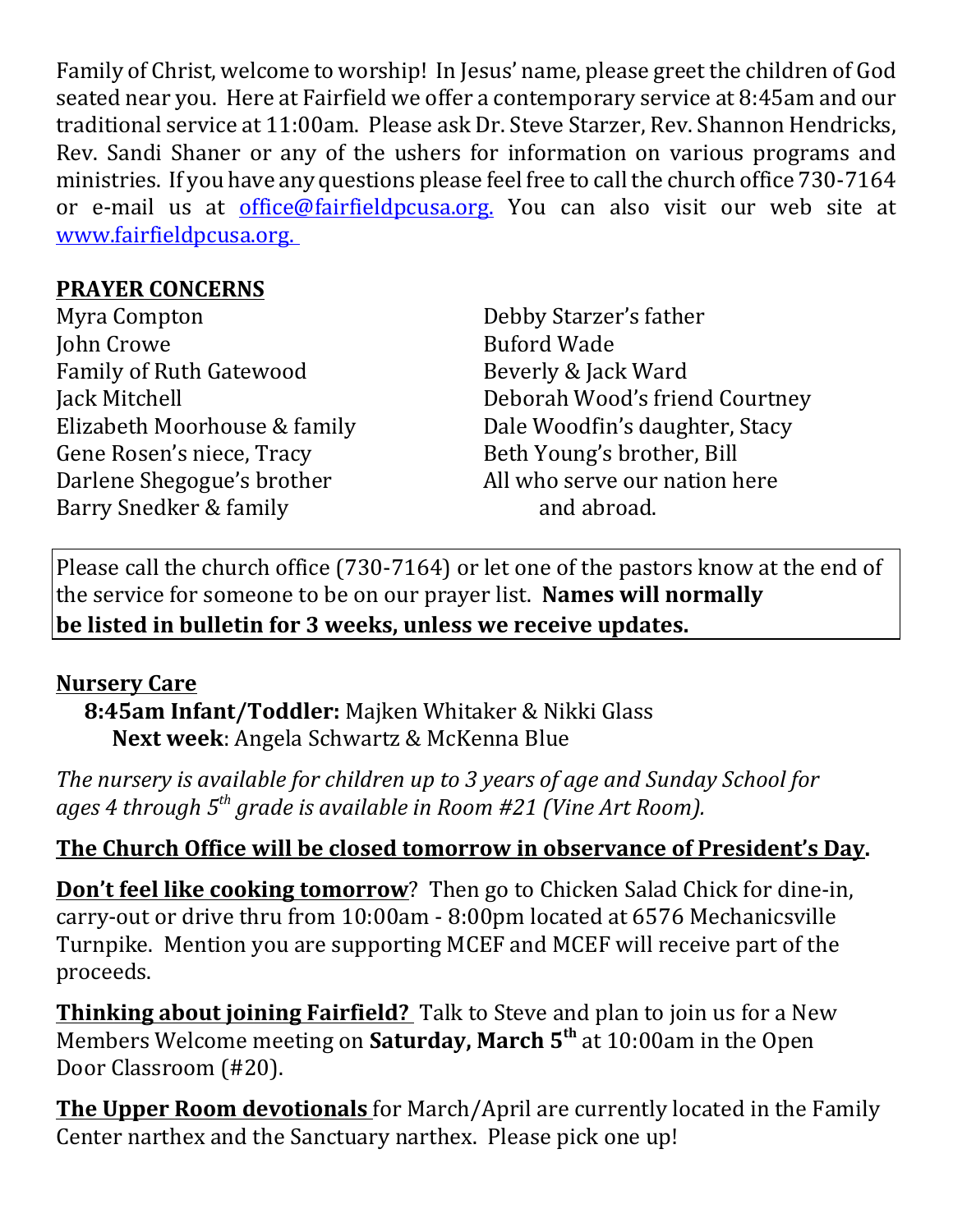Family of Christ, welcome to worship! In Jesus' name, please greet the children of God seated near you. Here at Fairfield we offer a contemporary service at 8:45am and our traditional service at 11:00am. Please ask Dr. Steve Starzer, Rev. Shannon Hendricks, Rev. Sandi Shaner or any of the ushers for information on various programs and ministries. If you have any questions please feel free to call the church office 730-7164 or e-mail us at office@fairfieldpcusa.org. You can also visit our web site at www.fairfieldpcusa.org.

## **PRAYER CONCERNS**

Myra Compton John Crowe Family of Ruth Gatewood Jack Mitchell Elizabeth Moorhouse & family Gene Rosen's niece, Tracy Darlene Shegogue's brother Barry Snedker & family

Debby Starzer's father Buford Wade Beverly & Jack Ward Deborah Wood's friend Courtney Dale Woodfin's daughter, Stacy Beth Young's brother, Bill All who serve our nation here and abroad.

Please call the church office (730-7164) or let one of the pastors know at the end of the service for someone to be on our prayer list. **Names will normally be listed in bulletin for 3 weeks, unless we receive updates.**

# **Nursery Care**

**8:45am Infant/Toddler:** Majken Whitaker & Nikki Glass **Next week**: Angela Schwartz & McKenna Blue

*The nursery is available for children up to 3 years of age and Sunday School for ages 4 through 5th grade is available in Room #21 (Vine Art Room).*

# **The Church Office will be closed tomorrow in observance of President's Day.**

**Don't feel like cooking tomorrow**? Then go to Chicken Salad Chick for dine-in, carry-out or drive thru from 10:00am - 8:00pm located at 6576 Mechanicsville Turnpike. Mention you are supporting MCEF and MCEF will receive part of the proceeds.

**Thinking about joining Fairfield?** Talk to Steve and plan to join us for a New Members Welcome meeting on **Saturday, March 5th** at 10:00am in the Open Door Classroom (#20).

**The Upper Room devotionals** for March/April are currently located in the Family Center narthex and the Sanctuary narthex. Please pick one up!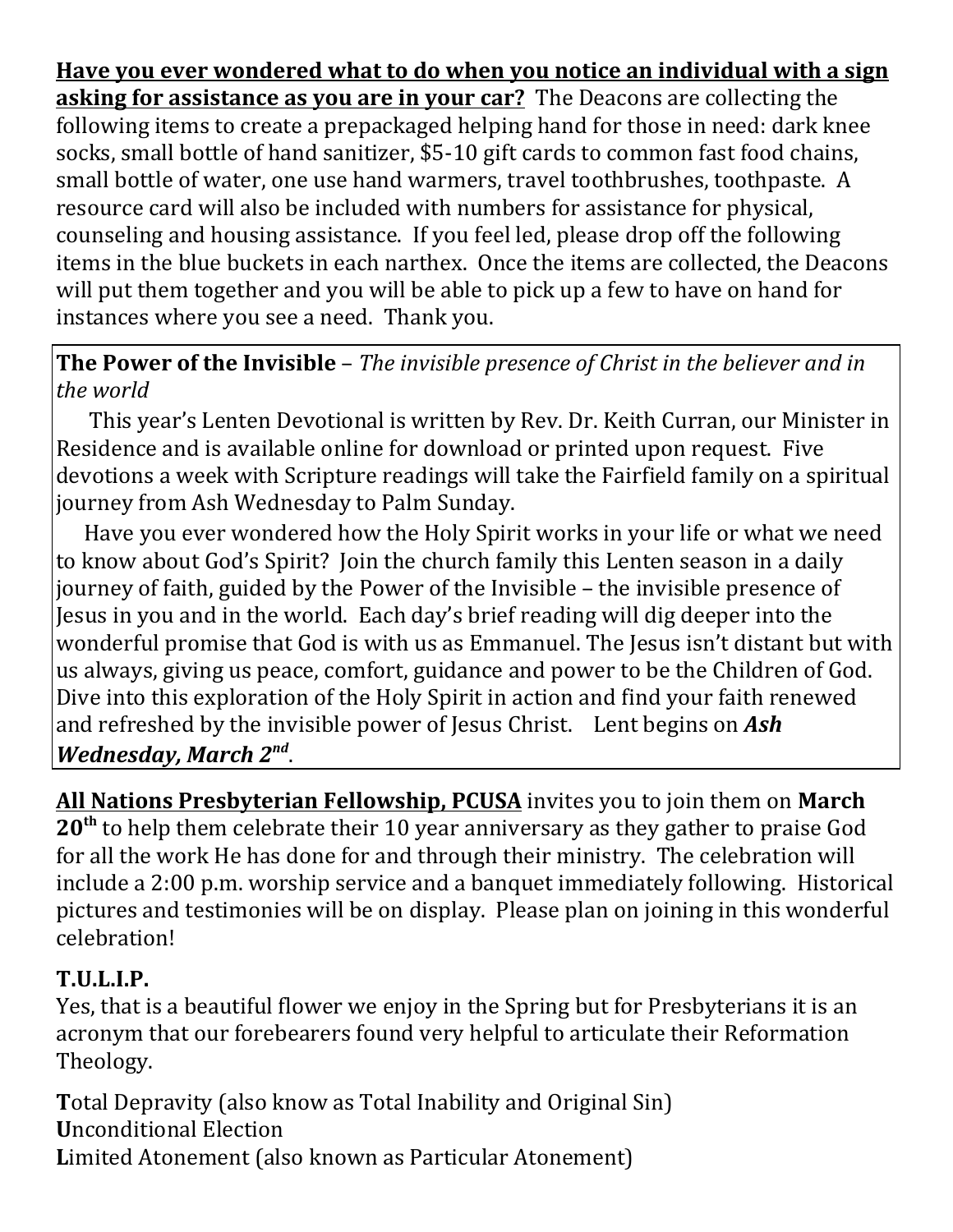**Have you ever wondered what to do when you notice an individual with a sign asking for assistance as you are in your car?** The Deacons are collecting the following items to create a prepackaged helping hand for those in need: dark knee socks, small bottle of hand sanitizer, \$5-10 gift cards to common fast food chains, small bottle of water, one use hand warmers, travel toothbrushes, toothpaste. A resource card will also be included with numbers for assistance for physical, counseling and housing assistance. If you feel led, please drop off the following items in the blue buckets in each narthex. Once the items are collected, the Deacons will put them together and you will be able to pick up a few to have on hand for instances where you see a need. Thank you.

#### **The Power of the Invisible** – *The invisible presence of Christ in the believer and in the world*

 This year's Lenten Devotional is written by Rev. Dr. Keith Curran, our Minister in Residence and is available online for download or printed upon request. Five devotions a week with Scripture readings will take the Fairfield family on a spiritual journey from Ash Wednesday to Palm Sunday.

Have you ever wondered how the Holy Spirit works in your life or what we need to know about God's Spirit? Join the church family this Lenten season in a daily journey of faith, guided by the Power of the Invisible – the invisible presence of Jesus in you and in the world. Each day's brief reading will dig deeper into the wonderful promise that God is with us as Emmanuel. The Jesus isn't distant but with us always, giving us peace, comfort, guidance and power to be the Children of God. Dive into this exploration of the Holy Spirit in action and find your faith renewed and refreshed by the invisible power of Jesus Christ. Lent begins on *Ash Wednesday, March 2nd*.

**All Nations Presbyterian Fellowship, PCUSA** invites you to join them on **March 20th** to help them celebrate their 10 year anniversary as they gather to praise God for all the work He has done for and through their ministry. The celebration will include a 2:00 p.m. worship service and a banquet immediately following. Historical pictures and testimonies will be on display. Please plan on joining in this wonderful celebration!

### **T.U.L.I.P.**

Yes, that is a beautiful flower we enjoy in the Spring but for Presbyterians it is an acronym that our forebearers found very helpful to articulate their Reformation Theology.

**T**otal Depravity (also know as Total Inability and Original Sin) **U**nconditional Election **L**imited Atonement (also known as Particular Atonement)